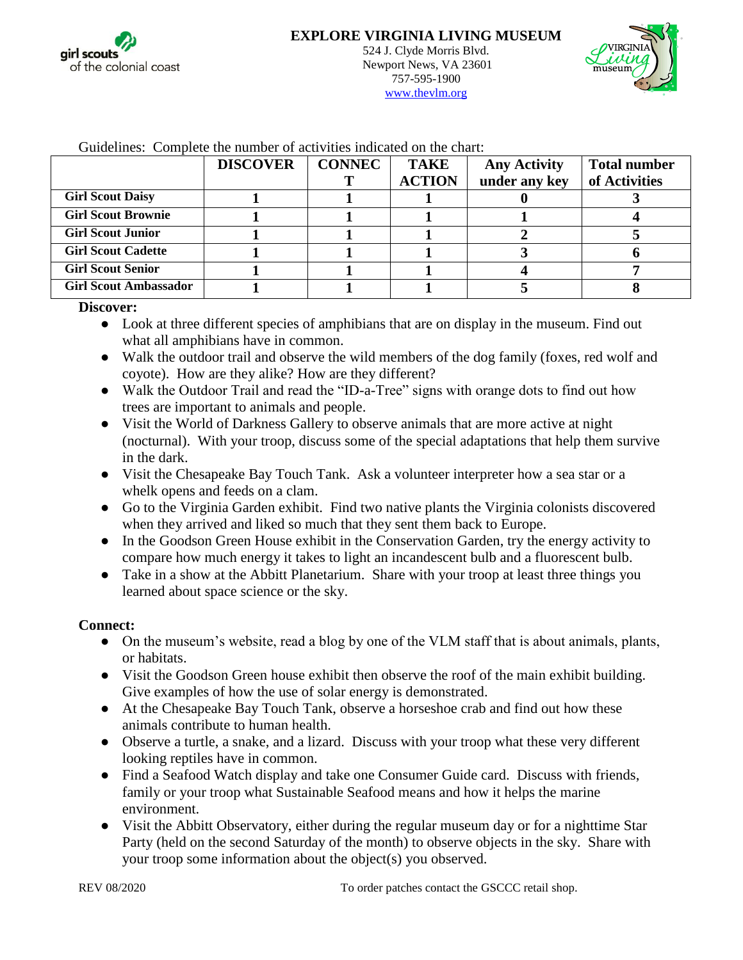



| Outwelling, Complete the humor of activities multened on the charge |                 |               |               |                     |                     |
|---------------------------------------------------------------------|-----------------|---------------|---------------|---------------------|---------------------|
|                                                                     | <b>DISCOVER</b> | <b>CONNEC</b> | <b>TAKE</b>   | <b>Any Activity</b> | <b>Total number</b> |
|                                                                     |                 |               | <b>ACTION</b> | under any key       | of Activities       |
| <b>Girl Scout Daisy</b>                                             |                 |               |               |                     |                     |
| <b>Girl Scout Brownie</b>                                           |                 |               |               |                     |                     |
| <b>Girl Scout Junior</b>                                            |                 |               |               |                     |                     |
| <b>Girl Scout Cadette</b>                                           |                 |               |               |                     |                     |
| <b>Girl Scout Senior</b>                                            |                 |               |               |                     |                     |
| <b>Girl Scout Ambassador</b>                                        |                 |               |               |                     |                     |

Guidelines: Complete the number of activities indicated on the chart:

**Discover:**

- Look at three different species of amphibians that are on display in the museum. Find out what all amphibians have in common.
- Walk the outdoor trail and observe the wild members of the dog family (foxes, red wolf and coyote). How are they alike? How are they different?
- Walk the Outdoor Trail and read the "ID-a-Tree" signs with orange dots to find out how trees are important to animals and people.
- Visit the World of Darkness Gallery to observe animals that are more active at night (nocturnal). With your troop, discuss some of the special adaptations that help them survive in the dark.
- Visit the Chesapeake Bay Touch Tank. Ask a volunteer interpreter how a sea star or a whelk opens and feeds on a clam.
- Go to the Virginia Garden exhibit. Find two native plants the Virginia colonists discovered when they arrived and liked so much that they sent them back to Europe.
- In the Goodson Green House exhibit in the Conservation Garden, try the energy activity to compare how much energy it takes to light an incandescent bulb and a fluorescent bulb.
- Take in a show at the Abbitt Planetarium. Share with your troop at least three things you learned about space science or the sky.

## **Connect:**

- On the museum's website, read a blog by one of the VLM staff that is about animals, plants, or habitats.
- Visit the Goodson Green house exhibit then observe the roof of the main exhibit building. Give examples of how the use of solar energy is demonstrated.
- At the Chesapeake Bay Touch Tank, observe a horseshoe crab and find out how these animals contribute to human health.
- Observe a turtle, a snake, and a lizard. Discuss with your troop what these very different looking reptiles have in common.
- Find a Seafood Watch display and take one Consumer Guide card. Discuss with friends, family or your troop what Sustainable Seafood means and how it helps the marine environment.
- Visit the Abbitt Observatory, either during the regular museum day or for a nighttime Star Party (held on the second Saturday of the month) to observe objects in the sky. Share with your troop some information about the object(s) you observed.